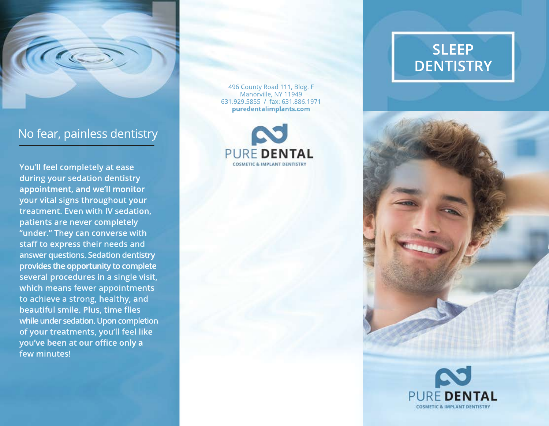

No fear, painless dentistry

**You'll feel completely at ease during your sedation dentistry appointment, and we'll monitor your vital signs throughout your treatment. Even with IV sedation, patients are never completely "under." They can converse with staff to express their needs and answer questions. Sedation dentistry provides the opportunity to complete complete several procedures in a single visit, which means fewer appointments to achieve a strong, healthy, and beautiful smile. Plus, time flies while under sedation. Upon completion of your treatments, you'll feel like you've been at our office only a few minutes!**

496 County Road 111, Bldg. F Manorville, NY 11949 631.929.5855 / fax: 631.886.1971 **puredentalimplants.com**



# **SLEEP DENTISTRY**